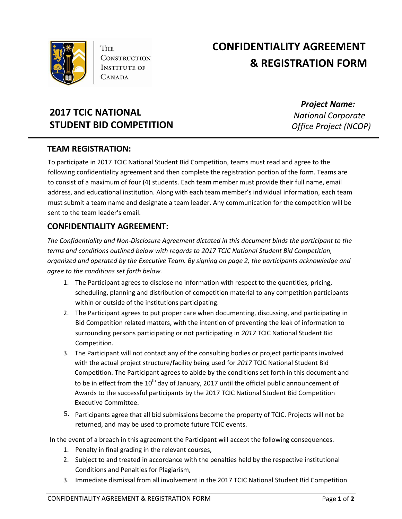

**THE CONSTRUCTION INSTITUTE OF** CANADA

# **CONFIDENTIALITY AGREEMENT & REGISTRATION FORM**

## **2017 TCIC NATIONAL STUDENT BID COMPETITION**

*Project Name: National Corporate Office Project (NCOP)*

#### **TEAM REGISTRATION:**

To participate in 2017 TCIC National Student Bid Competition, teams must read and agree to the following confidentiality agreement and then complete the registration portion of the form. Teams are to consist of a maximum of four (4) students. Each team member must provide their full name, email address, and educational institution. Along with each team member's individual information, each team must submit a team name and designate a team leader. Any communication for the competition will be sent to the team leader's email.

### **CONFIDENTIALITY AGREEMENT:**

*The Confidentiality and Non-Disclosure Agreement dictated in this document binds the participant to the terms and conditions outlined below with regards to 2017 TCIC National Student Bid Competition, organized and operated by the Executive Team. By signing on page 2, the participants acknowledge and agree to the conditions set forth below.*

- 1. The Participant agrees to disclose no information with respect to the quantities, pricing, scheduling, planning and distribution of competition material to any competition participants within or outside of the institutions participating.
- 2. The Participant agrees to put proper care when documenting, discussing, and participating in Bid Competition related matters, with the intention of preventing the leak of information to surrounding persons participating or not participating in *2017* TCIC National Student Bid Competition.
- 3. The Participant will not contact any of the consulting bodies or project participants involved with the actual project structure/facility being used for *2017* TCIC National Student Bid Competition. The Participant agrees to abide by the conditions set forth in this document and to be in effect from the 10<sup>th</sup> day of January, 2017 until the official public announcement of Awards to the successful participants by the 2017 TCIC National Student Bid Competition Executive Committee.
- 5. Participants agree that all bid submissions become the property of TCIC. Projects will not be returned, and may be used to promote future TCIC events.

In the event of a breach in this agreement the Participant will accept the following consequences.

- 1. Penalty in final grading in the relevant courses,
- 2. Subject to and treated in accordance with the penalties held by the respective institutional Conditions and Penalties for Plagiarism,
- 3. Immediate dismissal from all involvement in the 2017 TCIC National Student Bid Competition